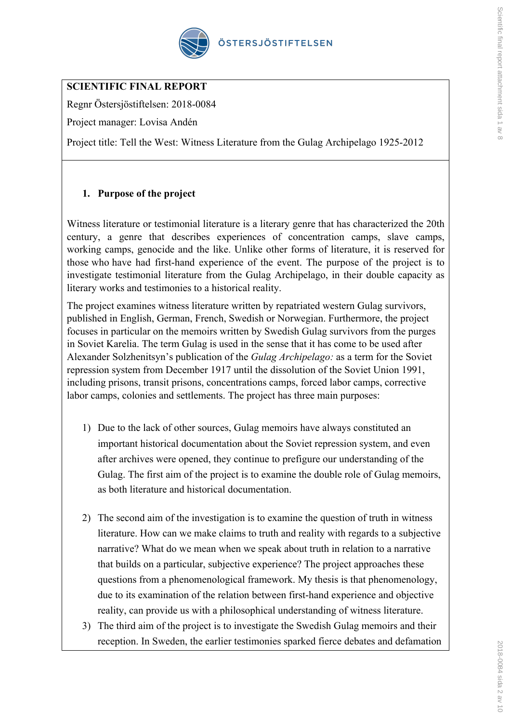

# **SCIENTIFIC FINAL REPORT**

Regnr Östersjöstiftelsen: 2018-0084

Project manager: Lovisa Andén

Project title: Tell the West: Witness Literature from the Gulag Archipelago 1925-2012

# **1. Purpose of the project**

Witness literature or testimonial literature is a literary genre that has characterized the 20th century, a genre that describes experiences of concentration camps, slave camps, working camps, genocide and the like. Unlike other forms of literature, it is reserved for those who have had first-hand experience of the event. The purpose of the project is to investigate testimonial literature from the Gulag Archipelago, in their double capacity as literary works and testimonies to a historical reality.

The project examines witness literature written by repatriated western Gulag survivors, published in English, German, French, Swedish or Norwegian. Furthermore, the project focuses in particular on the memoirs written by Swedish Gulag survivors from the purges in Soviet Karelia. The term Gulag is used in the sense that it has come to be used after Alexander Solzhenitsyn's publication of the *Gulag Archipelago:* as a term for the Soviet repression system from December 1917 until the dissolution of the Soviet Union 1991, including prisons, transit prisons, concentrations camps, forced labor camps, corrective labor camps, colonies and settlements. The project has three main purposes:

- 1) Due to the lack of other sources, Gulag memoirs have always constituted an important historical documentation about the Soviet repression system, and even after archives were opened, they continue to prefigure our understanding of the Gulag. The first aim of the project is to examine the double role of Gulag memoirs, as both literature and historical documentation.
- 2) The second aim of the investigation is to examine the question of truth in witness literature. How can we make claims to truth and reality with regards to a subjective narrative? What do we mean when we speak about truth in relation to a narrative that builds on a particular, subjective experience? The project approaches these questions from a phenomenological framework. My thesis is that phenomenology, due to its examination of the relation between first-hand experience and objective reality, can provide us with a philosophical understanding of witness literature.
- 3) The third aim of the project is to investigate the Swedish Gulag memoirs and their reception. In Sweden, the earlier testimonies sparked fierce debates and defamation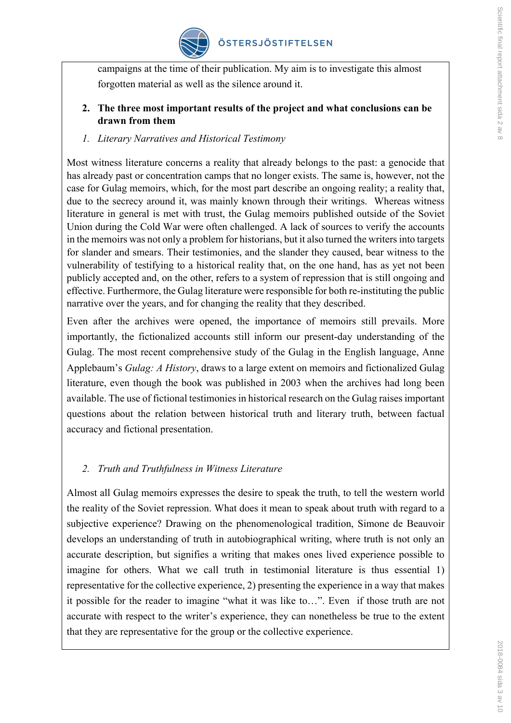

campaigns at the time of their publication. My aim is to investigate this almost forgotten material as well as the silence around it.

### **2. The three most important results of the project and what conclusions can be drawn from them**

### *1. Literary Narratives and Historical Testimony*

Most witness literature concerns a reality that already belongs to the past: a genocide that has already past or concentration camps that no longer exists. The same is, however, not the case for Gulag memoirs, which, for the most part describe an ongoing reality; a reality that, due to the secrecy around it, was mainly known through their writings. Whereas witness literature in general is met with trust, the Gulag memoirs published outside of the Soviet Union during the Cold War were often challenged. A lack of sources to verify the accounts in the memoirs was not only a problem for historians, but it also turned the writers into targets for slander and smears. Their testimonies, and the slander they caused, bear witness to the vulnerability of testifying to a historical reality that, on the one hand, has as yet not been publicly accepted and, on the other, refers to a system of repression that is still ongoing and effective. Furthermore, the Gulag literature were responsible for both re-instituting the public narrative over the years, and for changing the reality that they described.

Even after the archives were opened, the importance of memoirs still prevails. More importantly, the fictionalized accounts still inform our present-day understanding of the Gulag. The most recent comprehensive study of the Gulag in the English language, Anne Applebaum's *Gulag: A History*, draws to a large extent on memoirs and fictionalized Gulag literature, even though the book was published in 2003 when the archives had long been available. The use of fictional testimonies in historical research on the Gulag raises important questions about the relation between historical truth and literary truth, between factual accuracy and fictional presentation.

## *2. Truth and Truthfulness in Witness Literature*

Almost all Gulag memoirs expresses the desire to speak the truth, to tell the western world the reality of the Soviet repression. What does it mean to speak about truth with regard to a subjective experience? Drawing on the phenomenological tradition, Simone de Beauvoir develops an understanding of truth in autobiographical writing, where truth is not only an accurate description, but signifies a writing that makes ones lived experience possible to imagine for others. What we call truth in testimonial literature is thus essential 1) representative for the collective experience, 2) presenting the experience in a way that makes it possible for the reader to imagine "what it was like to…". Even if those truth are not accurate with respect to the writer's experience, they can nonetheless be true to the extent that they are representative for the group or the collective experience.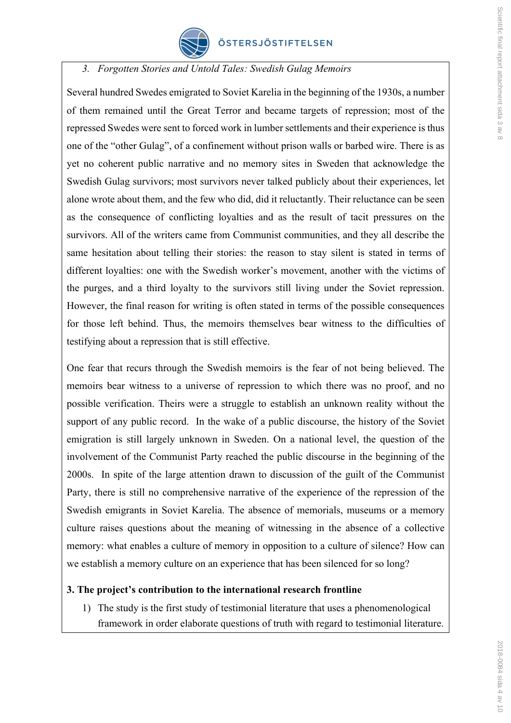

*3. Forgotten Stories and Untold Tales: Swedish Gulag Memoirs*

Several hundred Swedes emigrated to Soviet Karelia in the beginning of the 1930s, a number of them remained until the Great Terror and became targets of repression; most of the repressed Swedes were sent to forced work in lumber settlements and their experience is thus one of the "other Gulag", of a confinement without prison walls or barbed wire. There is as yet no coherent public narrative and no memory sites in Sweden that acknowledge the Swedish Gulag survivors; most survivors never talked publicly about their experiences, let alone wrote about them, and the few who did, did it reluctantly. Their reluctance can be seen as the consequence of conflicting loyalties and as the result of tacit pressures on the survivors. All of the writers came from Communist communities, and they all describe the same hesitation about telling their stories: the reason to stay silent is stated in terms of different loyalties: one with the Swedish worker's movement, another with the victims of the purges, and a third loyalty to the survivors still living under the Soviet repression. However, the final reason for writing is often stated in terms of the possible consequences for those left behind. Thus, the memoirs themselves bear witness to the difficulties of testifying about a repression that is still effective.

One fear that recurs through the Swedish memoirs is the fear of not being believed. The memoirs bear witness to a universe of repression to which there was no proof, and no possible verification. Theirs were a struggle to establish an unknown reality without the support of any public record. In the wake of a public discourse, the history of the Soviet emigration is still largely unknown in Sweden. On a national level, the question of the involvement of the Communist Party reached the public discourse in the beginning of the 2000s. In spite of the large attention drawn to discussion of the guilt of the Communist Party, there is still no comprehensive narrative of the experience of the repression of the Swedish emigrants in Soviet Karelia. The absence of memorials, museums or a memory culture raises questions about the meaning of witnessing in the absence of a collective memory: what enables a culture of memory in opposition to a culture of silence? How can we establish a memory culture on an experience that has been silenced for so long?

### **3. The project's contribution to the international research frontline**

1) The study is the first study of testimonial literature that uses a phenomenological framework in order elaborate questions of truth with regard to testimonial literature.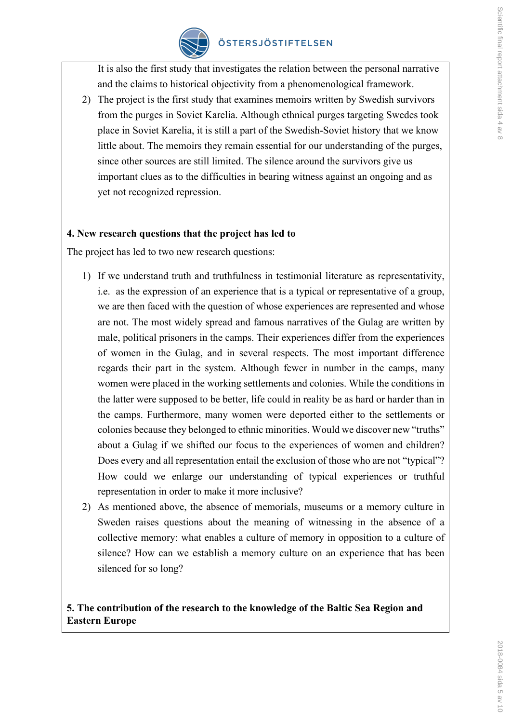

It is also the first study that investigates the relation between the personal narrative and the claims to historical objectivity from a phenomenological framework.

2) The project is the first study that examines memoirs written by Swedish survivors from the purges in Soviet Karelia. Although ethnical purges targeting Swedes took place in Soviet Karelia, it is still a part of the Swedish-Soviet history that we know little about. The memoirs they remain essential for our understanding of the purges, since other sources are still limited. The silence around the survivors give us important clues as to the difficulties in bearing witness against an ongoing and as yet not recognized repression.

### **4. New research questions that the project has led to**

The project has led to two new research questions:

- 1) If we understand truth and truthfulness in testimonial literature as representativity, i.e. as the expression of an experience that is a typical or representative of a group, we are then faced with the question of whose experiences are represented and whose are not. The most widely spread and famous narratives of the Gulag are written by male, political prisoners in the camps. Their experiences differ from the experiences of women in the Gulag, and in several respects. The most important difference regards their part in the system. Although fewer in number in the camps, many women were placed in the working settlements and colonies. While the conditions in the latter were supposed to be better, life could in reality be as hard or harder than in the camps. Furthermore, many women were deported either to the settlements or colonies because they belonged to ethnic minorities. Would we discover new "truths" about a Gulag if we shifted our focus to the experiences of women and children? Does every and all representation entail the exclusion of those who are not "typical"? How could we enlarge our understanding of typical experiences or truthful representation in order to make it more inclusive?
- 2) As mentioned above, the absence of memorials, museums or a memory culture in Sweden raises questions about the meaning of witnessing in the absence of a collective memory: what enables a culture of memory in opposition to a culture of silence? How can we establish a memory culture on an experience that has been silenced for so long?

## **5. The contribution of the research to the knowledge of the Baltic Sea Region and Eastern Europe**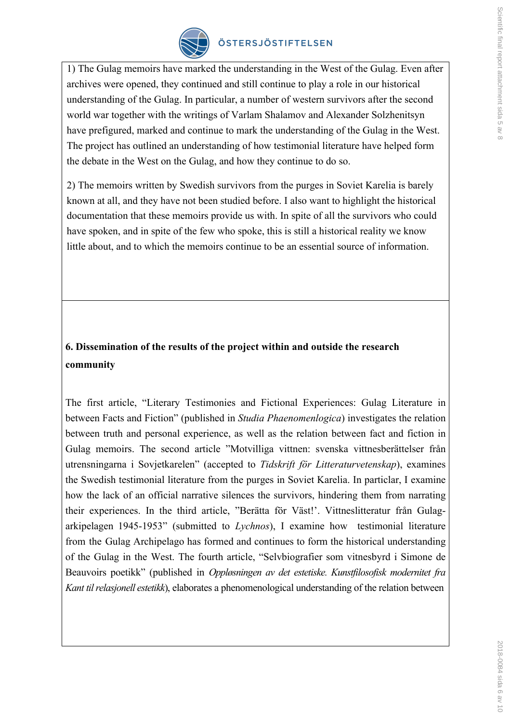

# ÖSTERSJÖSTIFTELSEN

1) The Gulag memoirs have marked the understanding in the West of the Gulag. Even after archives were opened, they continued and still continue to play a role in our historical understanding of the Gulag. In particular, a number of western survivors after the second world war together with the writings of Varlam Shalamov and Alexander Solzhenitsyn have prefigured, marked and continue to mark the understanding of the Gulag in the West. The project has outlined an understanding of how testimonial literature have helped form the debate in the West on the Gulag, and how they continue to do so.

2) The memoirs written by Swedish survivors from the purges in Soviet Karelia is barely known at all, and they have not been studied before. I also want to highlight the historical documentation that these memoirs provide us with. In spite of all the survivors who could have spoken, and in spite of the few who spoke, this is still a historical reality we know little about, and to which the memoirs continue to be an essential source of information.

# **6. Dissemination of the results of the project within and outside the research community**

The first article, "Literary Testimonies and Fictional Experiences: Gulag Literature in between Facts and Fiction" (published in *Studia Phaenomenlogica*) investigates the relation between truth and personal experience, as well as the relation between fact and fiction in Gulag memoirs. The second article "Motvilliga vittnen: svenska vittnesberättelser från utrensningarna i Sovjetkarelen" (accepted to *Tidskrift för Litteraturvetenskap*), examines the Swedish testimonial literature from the purges in Soviet Karelia. In particlar, I examine how the lack of an official narrative silences the survivors, hindering them from narrating their experiences. In the third article, "Berätta för Väst!'. Vittneslitteratur från Gulagarkipelagen 1945-1953" (submitted to *Lychnos*), I examine how testimonial literature from the Gulag Archipelago has formed and continues to form the historical understanding of the Gulag in the West. The fourth article, "Selvbiografier som vitnesbyrd i Simone de Beauvoirs poetikk" (published in *Oppløsningen av det estetiske. Kunstfilosofisk modernitet fra Kant til relasjonell estetikk*), elaborates a phenomenological understanding of the relation between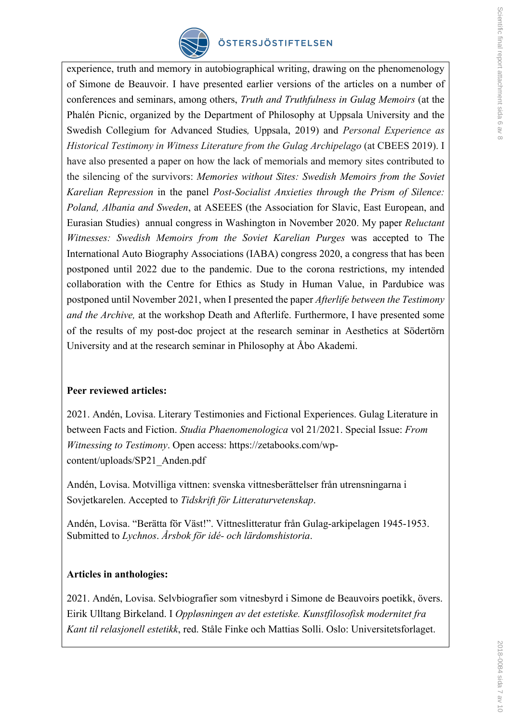

## ÖSTERSJÖSTIFTELSEN

experience, truth and memory in autobiographical writing, drawing on the phenomenology of Simone de Beauvoir. I have presented earlier versions of the articles on a number of conferences and seminars, among others, *Truth and Truthfulness in Gulag Memoirs* (at the Phalén Picnic, organized by the Department of Philosophy at Uppsala University and the Swedish Collegium for Advanced Studies*,* Uppsala, 2019) and *Personal Experience as Historical Testimony in Witness Literature from the Gulag Archipelago* (at CBEES 2019). I have also presented a paper on how the lack of memorials and memory sites contributed to the silencing of the survivors: *Memories without Sites: Swedish Memoirs from the Soviet Karelian Repression* in the panel *Post-Socialist Anxieties through the Prism of Silence: Poland, Albania and Sweden*, at ASEEES (the Association for Slavic, East European, and Eurasian Studies) annual congress in Washington in November 2020. My paper *Reluctant Witnesses: Swedish Memoirs from the Soviet Karelian Purges* was accepted to The International Auto Biography Associations (IABA) congress 2020, a congress that has been postponed until 2022 due to the pandemic. Due to the corona restrictions, my intended collaboration with the Centre for Ethics as Study in Human Value, in Pardubice was postponed until November 2021, when I presented the paper *Afterlife between the Testimony and the Archive,* at the workshop Death and Afterlife. Furthermore, I have presented some of the results of my post-doc project at the research seminar in Aesthetics at Södertörn University and at the research seminar in Philosophy at Åbo Akademi.

### **Peer reviewed articles:**

2021. Andén, Lovisa. Literary Testimonies and Fictional Experiences. Gulag Literature in between Facts and Fiction. *Studia Phaenomenologica* vol 21/2021. Special Issue: *From Witnessing to Testimony*. Open access: https://zetabooks.com/wpcontent/uploads/SP21\_Anden.pdf

Andén, Lovisa. Motvilliga vittnen: svenska vittnesberättelser från utrensningarna i Sovjetkarelen. Accepted to *Tidskrift för Litteraturvetenskap*.

Andén, Lovisa. "Berätta för Väst!". Vittneslitteratur från Gulag-arkipelagen 1945-1953. Submitted to *Lychnos*. *Årsbok för idé- och lärdomshistoria*.

### **Articles in anthologies:**

2021. Andén, Lovisa. Selvbiografier som vitnesbyrd i Simone de Beauvoirs poetikk, övers. Eirik Ulltang Birkeland. I *Oppløsningen av det estetiske. Kunstfilosofisk modernitet fra Kant til relasjonell estetikk*, red. Ståle Finke och Mattias Solli. Oslo: Universitetsforlaget.